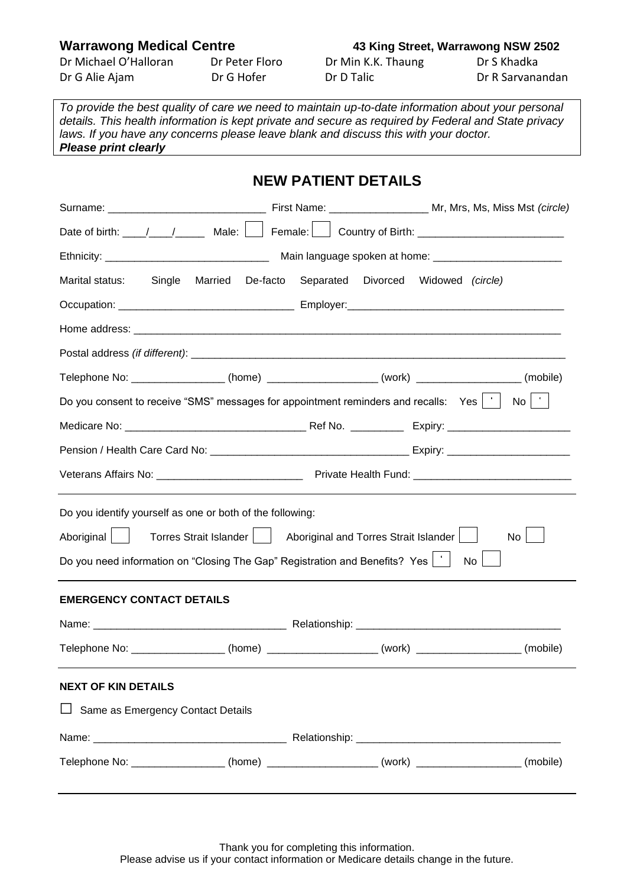| Dr Michael O'Halloran | Dr Peter Floro | Dr Min K.K. Thaung | Dr S Khadka      |
|-----------------------|----------------|--------------------|------------------|
| Dr G Alie Ajam        | Dr G Hofer     | Dr D Talic         | Dr R Sarvanandan |

## **Warrawong Medical Centre 43 King Street, Warrawong NSW 2502**

*To provide the best quality of care we need to maintain up-to-date information about your personal details. This health information is kept private and secure as required by Federal and State privacy laws. If you have any concerns please leave blank and discuss this with your doctor. Please print clearly*

|                                                                                                                                                                      | <b>NEW PATIENT DETAILS</b> |                                                                                                      |  |
|----------------------------------------------------------------------------------------------------------------------------------------------------------------------|----------------------------|------------------------------------------------------------------------------------------------------|--|
|                                                                                                                                                                      |                            |                                                                                                      |  |
|                                                                                                                                                                      |                            | Date of birth: \____/ \____/ Male: \_____ Female: \_______ Country of Birth: \______________________ |  |
|                                                                                                                                                                      |                            |                                                                                                      |  |
| Marital status: Single                                                                                                                                               |                            | Married De-facto Separated Divorced Widowed (circle)                                                 |  |
|                                                                                                                                                                      |                            |                                                                                                      |  |
|                                                                                                                                                                      |                            |                                                                                                      |  |
|                                                                                                                                                                      |                            |                                                                                                      |  |
|                                                                                                                                                                      |                            | Telephone No: __________________(home) __________________(work) _________________(mobile)            |  |
| Do you consent to receive "SMS" messages for appointment reminders and recalls: Yes $ \cdot $                                                                        |                            | $\mathsf{No}$   $\mathsf{'}$                                                                         |  |
|                                                                                                                                                                      |                            |                                                                                                      |  |
|                                                                                                                                                                      |                            |                                                                                                      |  |
|                                                                                                                                                                      |                            |                                                                                                      |  |
| Do you identify yourself as one or both of the following:<br>Aboriginal    <br>Do you need information on "Closing The Gap" Registration and Benefits? Yes $ \cdot $ |                            | Torres Strait Islander   Aboriginal and Torres Strait Islander<br>No<br>$\mathsf{No}$                |  |
| <b>EMERGENCY CONTACT DETAILS</b>                                                                                                                                     |                            |                                                                                                      |  |
|                                                                                                                                                                      |                            |                                                                                                      |  |
|                                                                                                                                                                      |                            | Telephone No: ____________________(home) _____________________(work) _____________________(mobile)   |  |
| <b>NEXT OF KIN DETAILS</b>                                                                                                                                           |                            |                                                                                                      |  |
| Same as Emergency Contact Details                                                                                                                                    |                            |                                                                                                      |  |
|                                                                                                                                                                      |                            |                                                                                                      |  |
|                                                                                                                                                                      |                            | Telephone No: __________________(home) __________________(work) ________________(mobile)             |  |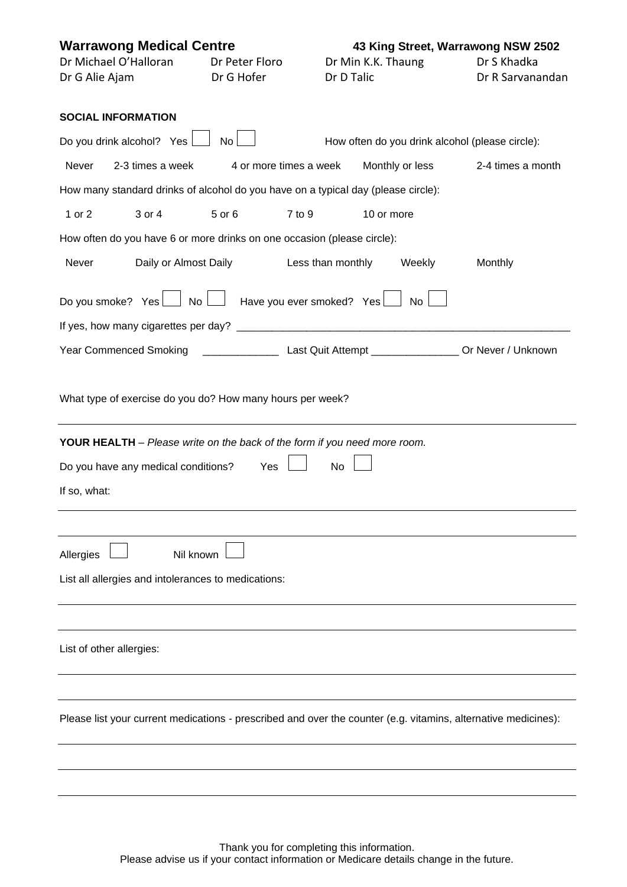| <b>Warrawong Medical Centre</b><br>Dr Michael O'Halloran<br>Dr G Alie Ajam                                     | Dr Peter Floro<br>Dr G Hofer |        | Dr D Talic                | Dr Min K.K. Thaung | 43 King Street, Warrawong NSW 2502<br>Dr S Khadka<br>Dr R Sarvanandan |
|----------------------------------------------------------------------------------------------------------------|------------------------------|--------|---------------------------|--------------------|-----------------------------------------------------------------------|
| <b>SOCIAL INFORMATION</b>                                                                                      |                              |        |                           |                    |                                                                       |
| Do you drink alcohol? Yes                                                                                      | No                           |        |                           |                    | How often do you drink alcohol (please circle):                       |
| 2-3 times a week<br><b>Never</b>                                                                               | 4 or more times a week       |        |                           | Monthly or less    | 2-4 times a month                                                     |
| How many standard drinks of alcohol do you have on a typical day (please circle):                              |                              |        |                           |                    |                                                                       |
| 1 or 2<br>3 or 4                                                                                               | 5 or 6                       | 7 to 9 |                           | 10 or more         |                                                                       |
| How often do you have 6 or more drinks on one occasion (please circle):                                        |                              |        |                           |                    |                                                                       |
| Never<br>Daily or Almost Daily                                                                                 |                              |        | Less than monthly         | Weekly             | Monthly                                                               |
| No<br>Do you smoke? Yes                                                                                        |                              |        | Have you ever smoked? Yes | <b>No</b>          |                                                                       |
|                                                                                                                |                              |        |                           |                    |                                                                       |
| Year Commenced Smoking ______________________________Last Quit Attempt __________________Or Never / Unknown    |                              |        |                           |                    |                                                                       |
| What type of exercise do you do? How many hours per week?                                                      |                              |        |                           |                    |                                                                       |
| YOUR HEALTH - Please write on the back of the form if you need more room.                                      |                              |        |                           |                    |                                                                       |
| Do you have any medical conditions?                                                                            | Yes                          |        | No                        |                    |                                                                       |
| If so, what:                                                                                                   |                              |        |                           |                    |                                                                       |
|                                                                                                                |                              |        |                           |                    |                                                                       |
| Allergies<br>Nil known                                                                                         |                              |        |                           |                    |                                                                       |
| List all allergies and intolerances to medications:                                                            |                              |        |                           |                    |                                                                       |
|                                                                                                                |                              |        |                           |                    |                                                                       |
|                                                                                                                |                              |        |                           |                    |                                                                       |
| List of other allergies:                                                                                       |                              |        |                           |                    |                                                                       |
|                                                                                                                |                              |        |                           |                    |                                                                       |
| Please list your current medications - prescribed and over the counter (e.g. vitamins, alternative medicines): |                              |        |                           |                    |                                                                       |
|                                                                                                                |                              |        |                           |                    |                                                                       |
|                                                                                                                |                              |        |                           |                    |                                                                       |